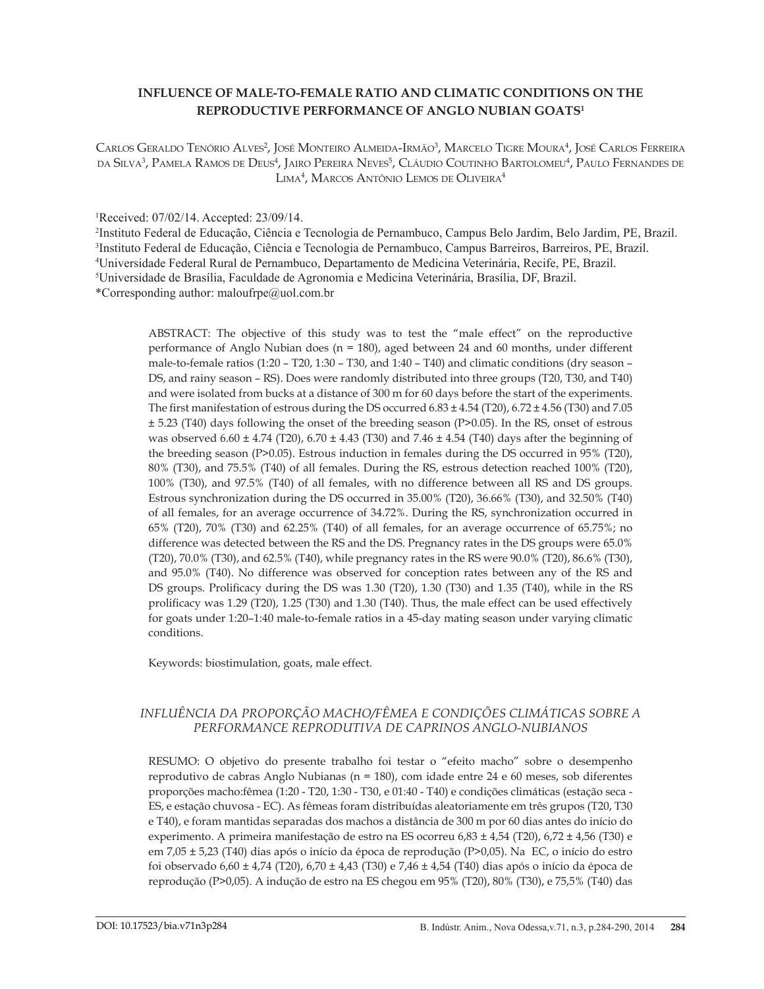# **INFLUENCE OF MALE-TO-FEMALE RATIO AND CLIMATIC CONDITIONS ON THE REPRODUCTIVE PERFORMANCE OF ANGLO NUBIAN GOATS1**

 $\rm {C}$ arlos Geraldo Tenório Alves<sup>2</sup>, José Monteiro Almeida-Irmão<sup>3</sup>, Marcelo Tigre Moura<sup>4</sup>, José Carlos Ferreira da Silva<sup>3</sup>, Pamela Ramos de Deus<sup>4</sup>, Jairo Pereira Neves<sup>5</sup>, Cláudio Coutinho Bartolomeu<sup>4</sup>, Paulo Fernandes de Lima4 , Marcos Antônio Lemos de Oliveira4

# 1 Received: 07/02/14. Accepted: 23/09/14.

 Instituto Federal de Educação, Ciência e Tecnologia de Pernambuco, Campus Belo Jardim, Belo Jardim, PE, Brazil. Instituto Federal de Educação, Ciência e Tecnologia de Pernambuco, Campus Barreiros, Barreiros, PE, Brazil. Universidade Federal Rural de Pernambuco, Departamento de Medicina Veterinária, Recife, PE, Brazil. Universidade de Brasília, Faculdade de Agronomia e Medicina Veterinária, Brasília, DF, Brazil. \*Corresponding author: maloufrpe@uol.com.br

ABSTRACT: The objective of this study was to test the "male effect" on the reproductive performance of Anglo Nubian does (n = 180), aged between 24 and 60 months, under different male-to-female ratios (1:20 – T20, 1:30 – T30, and 1:40 – T40) and climatic conditions (dry season – DS, and rainy season – RS). Does were randomly distributed into three groups (T20, T30, and T40) and were isolated from bucks at a distance of 300 m for 60 days before the start of the experiments. The first manifestation of estrous during the DS occurred  $6.83 \pm 4.54$  (T20),  $6.72 \pm 4.56$  (T30) and 7.05 ± 5.23 (T40) days following the onset of the breeding season (P>0.05). In the RS, onset of estrous was observed  $6.60 \pm 4.74$  (T20),  $6.70 \pm 4.43$  (T30) and 7.46  $\pm 4.54$  (T40) days after the beginning of the breeding season (P>0.05). Estrous induction in females during the DS occurred in 95% (T20), 80% (T30), and 75.5% (T40) of all females. During the RS, estrous detection reached 100% (T20), 100% (T30), and 97.5% (T40) of all females, with no difference between all RS and DS groups. Estrous synchronization during the DS occurred in 35.00% (T20), 36.66% (T30), and 32.50% (T40) of all females, for an average occurrence of 34.72%. During the RS, synchronization occurred in 65% (T20), 70% (T30) and 62.25% (T40) of all females, for an average occurrence of 65.75%; no difference was detected between the RS and the DS. Pregnancy rates in the DS groups were 65.0% (T20), 70.0% (T30), and 62.5% (T40), while pregnancy rates in the RS were 90.0% (T20), 86.6% (T30), and 95.0% (T40). No difference was observed for conception rates between any of the RS and DS groups. Prolificacy during the DS was 1.30 (T20), 1.30 (T30) and 1.35 (T40), while in the RS prolificacy was 1.29 (T20), 1.25 (T30) and 1.30 (T40). Thus, the male effect can be used effectively for goats under 1:20–1:40 male-to-female ratios in a 45-day mating season under varying climatic conditions.

Keywords: biostimulation, goats, male effect.

# *INFLUÊNCIA DA PROPORÇÃO MACHO/FÊMEA E CONDIÇÕES CLIMÁTICAS SOBRE A PERFORMANCE REPRODUTIVA DE CAPRINOS ANGLO-NUBIANOS*

RESUMO: O objetivo do presente trabalho foi testar o "efeito macho" sobre o desempenho reprodutivo de cabras Anglo Nubianas (n = 180), com idade entre 24 e 60 meses, sob diferentes proporções macho:fêmea (1:20 - T20, 1:30 - T30, e 01:40 - T40) e condições climáticas (estação seca - ES, e estação chuvosa - EC). As fêmeas foram distribuídas aleatoriamente em três grupos (T20, T30 e T40), e foram mantidas separadas dos machos a distância de 300 m por 60 dias antes do início do experimento. A primeira manifestação de estro na ES ocorreu 6,83 ± 4,54 (T20), 6,72 ± 4,56 (T30) e em 7,05 ± 5,23 (T40) dias após o início da época de reprodução (P>0,05). Na EC, o início do estro foi observado 6,60 ± 4,74 (T20), 6,70 ± 4,43 (T30) e 7,46 ± 4,54 (T40) dias após o início da época de reprodução (P>0,05). A indução de estro na ES chegou em 95% (T20), 80% (T30), e 75,5% (T40) das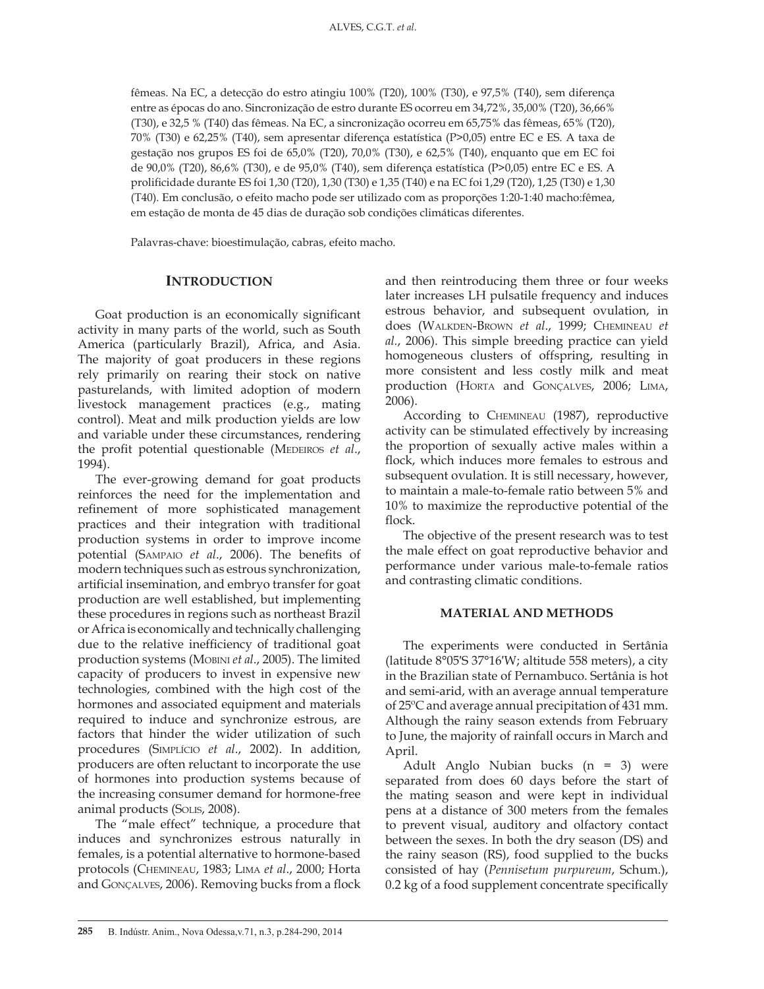fêmeas. Na EC, a detecção do estro atingiu 100% (T20), 100% (T30), e 97,5% (T40), sem diferença entre as épocas do ano. Sincronização de estro durante ES ocorreu em 34,72%, 35,00% (T20), 36,66% (T30), e 32,5 % (T40) das fêmeas. Na EC, a sincronização ocorreu em 65,75% das fêmeas, 65% (T20), 70% (T30) e 62,25% (T40), sem apresentar diferença estatística (P>0,05) entre EC e ES. A taxa de gestação nos grupos ES foi de 65,0% (T20), 70,0% (T30), e 62,5% (T40), enquanto que em EC foi de 90,0% (T20), 86,6% (T30), e de 95,0% (T40), sem diferença estatística (P>0,05) entre EC e ES. A prolificidade durante ES foi 1,30 (T20), 1,30 (T30) e 1,35 (T40) e na EC foi 1,29 (T20), 1,25 (T30) e 1,30 (T40). Em conclusão, o efeito macho pode ser utilizado com as proporções 1:20-1:40 macho:fêmea, em estação de monta de 45 dias de duração sob condições climáticas diferentes.

Palavras-chave: bioestimulação, cabras, efeito macho.

## **INTRODUCTION**

Goat production is an economically significant activity in many parts of the world, such as South America (particularly Brazil), Africa, and Asia. The majority of goat producers in these regions rely primarily on rearing their stock on native pasturelands, with limited adoption of modern livestock management practices (e.g., mating control). Meat and milk production yields are low and variable under these circumstances, rendering the profit potential questionable (MEDEIROS *et al.*, 1994).

The ever-growing demand for goat products reinforces the need for the implementation and refinement of more sophisticated management practices and their integration with traditional production systems in order to improve income potential (Sampaio *et al*., 2006). The benefits of modern techniques such as estrous synchronization, artificial insemination, and embryo transfer for goat production are well established, but implementing these procedures in regions such as northeast Brazil or Africa is economically and technically challenging due to the relative inefficiency of traditional goat production systems (Mobini *et al*., 2005). The limited capacity of producers to invest in expensive new technologies, combined with the high cost of the hormones and associated equipment and materials required to induce and synchronize estrous, are factors that hinder the wider utilization of such procedures (Simplício *et al*., 2002). In addition, producers are often reluctant to incorporate the use of hormones into production systems because of the increasing consumer demand for hormone-free animal products (Solis, 2008).

The "male effect" technique, a procedure that induces and synchronizes estrous naturally in females, is a potential alternative to hormone-based protocols (Chemineau, 1983; Lima *et al*., 2000; Horta and Gonçalves, 2006). Removing bucks from a flock

and then reintroducing them three or four weeks later increases LH pulsatile frequency and induces estrous behavior, and subsequent ovulation, in does (Walkden-Brown *et al*., 1999; Chemineau *et al.*, 2006). This simple breeding practice can yield homogeneous clusters of offspring, resulting in more consistent and less costly milk and meat production (Horta and Gonçalves, 2006; Lima, 2006).

According to Chemineau (1987), reproductive activity can be stimulated effectively by increasing the proportion of sexually active males within a flock, which induces more females to estrous and subsequent ovulation. It is still necessary, however, to maintain a male-to-female ratio between 5% and 10% to maximize the reproductive potential of the flock.

The objective of the present research was to test the male effect on goat reproductive behavior and performance under various male-to-female ratios and contrasting climatic conditions.

#### **MATERIAL AND METHODS**

The experiments were conducted in Sertânia (latitude 8°05′S 37°16′W; altitude 558 meters), a city in the Brazilian state of Pernambuco. Sertânia is hot and semi-arid, with an average annual temperature of 25ºC and average annual precipitation of 431 mm. Although the rainy season extends from February to June, the majority of rainfall occurs in March and April.

Adult Anglo Nubian bucks (n = 3) were separated from does 60 days before the start of the mating season and were kept in individual pens at a distance of 300 meters from the females to prevent visual, auditory and olfactory contact between the sexes. In both the dry season (DS) and the rainy season (RS), food supplied to the bucks consisted of hay (*Pennisetum purpureum*, Schum.), 0.2 kg of a food supplement concentrate specifically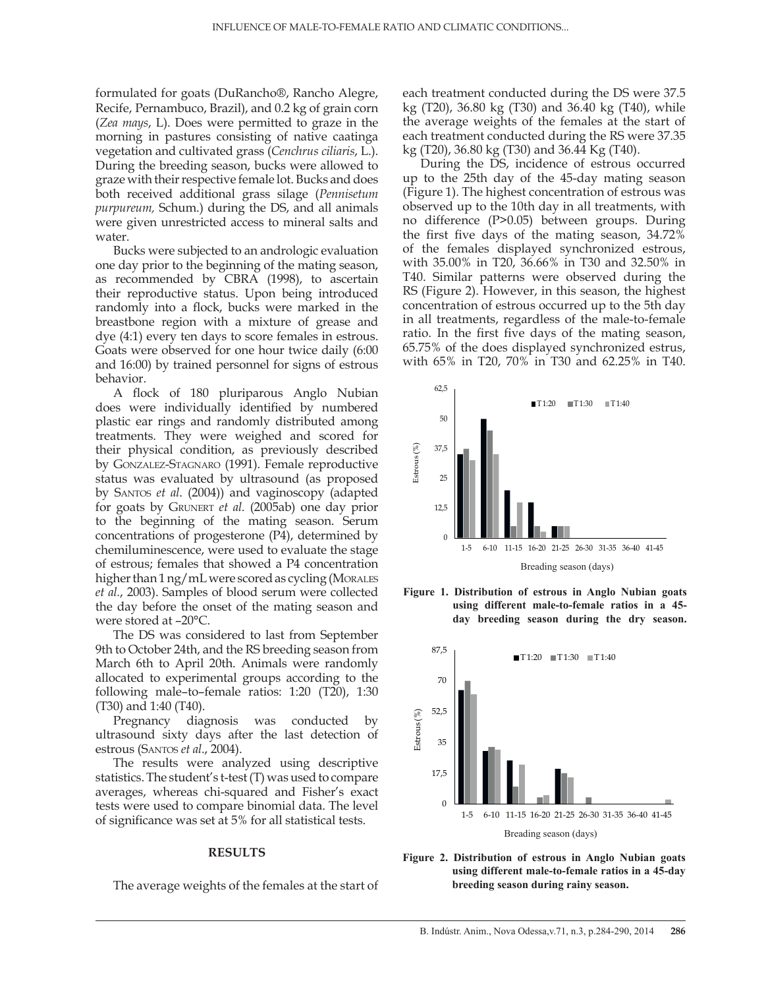formulated for goats (DuRancho®, Rancho Alegre, Recife, Pernambuco, Brazil), and 0.2 kg of grain corn (*Zea mays*, L). Does were permitted to graze in the morning in pastures consisting of native caatinga vegetation and cultivated grass (*Cenchrus ciliaris*, L.). During the breeding season, bucks were allowed to graze with their respective female lot. Bucks and does both received additional grass silage (*Pennisetum purpureum,* Schum.) during the DS, and all animals were given unrestricted access to mineral salts and water.

Bucks were subjected to an andrologic evaluation one day prior to the beginning of the mating season, as recommended by CBRA (1998), to ascertain their reproductive status. Upon being introduced randomly into a flock, bucks were marked in the breastbone region with a mixture of grease and dye (4:1) every ten days to score females in estrous. Goats were observed for one hour twice daily (6:00 and 16:00) by trained personnel for signs of estrous behavior.

A flock of 180 pluriparous Anglo Nubian does were individually identified by numbered plastic ear rings and randomly distributed among treatments. They were weighed and scored for their physical condition, as previously described by Gonzalez-Stagnaro (1991). Female reproductive status was evaluated by ultrasound (as proposed by Santos *et al*. (2004)) and vaginoscopy (adapted for goats by Grunert *et al.* (2005ab) one day prior to the beginning of the mating season. Serum concentrations of progesterone (P4), determined by chemiluminescence, were used to evaluate the stage of estrous; females that showed a P4 concentration higher than 1 ng/mL were scored as cycling (MORALES *et al.*, 2003). Samples of blood serum were collected the day before the onset of the mating season and were stored at –20°C.

The DS was considered to last from September 9th to October 24th, and the RS breeding season from March 6th to April 20th. Animals were randomly allocated to experimental groups according to the following male–to–female ratios: 1:20 (T20), 1:30 (T30) and 1:40 (T40).

Pregnancy diagnosis was conducted by ultrasound sixty days after the last detection of estrous (Santos *et al*., 2004).

The results were analyzed using descriptive statistics. The student's t-test (T) was used to compare averages, whereas chi-squared and Fisher's exact tests were used to compare binomial data. The level of significance was set at 5% for all statistical tests.

#### **RESULTS**

The average weights of the females at the start of

each treatment conducted during the DS were 37.5 kg (T20), 36.80 kg (T30) and 36.40 kg (T40), while the average weights of the females at the start of each treatment conducted during the RS were 37.35 kg (T20), 36.80 kg (T30) and 36.44 Kg (T40).

During the DS, incidence of estrous occurred up to the 25th day of the 45-day mating season (Figure 1). The highest concentration of estrous was observed up to the 10th day in all treatments, with no difference (P>0.05) between groups. During the first five days of the mating season, 34.72% of the females displayed synchronized estrous, with 35.00% in T20, 36.66% in T30 and 32.50% in T40. Similar patterns were observed during the RS (Figure 2). However, in this season, the highest concentration of estrous occurred up to the 5th day in all treatments, regardless of the male-to-female ratio. In the first five days of the mating season, 65.75% of the does displayed synchronized estrus, with 65% in T20, 70% in T30 and 62.25% in T40.







**Figure 2. Distribution of estrous in Anglo Nubian goats using different male-to-female ratios in a 45-day breeding season during rainy season.**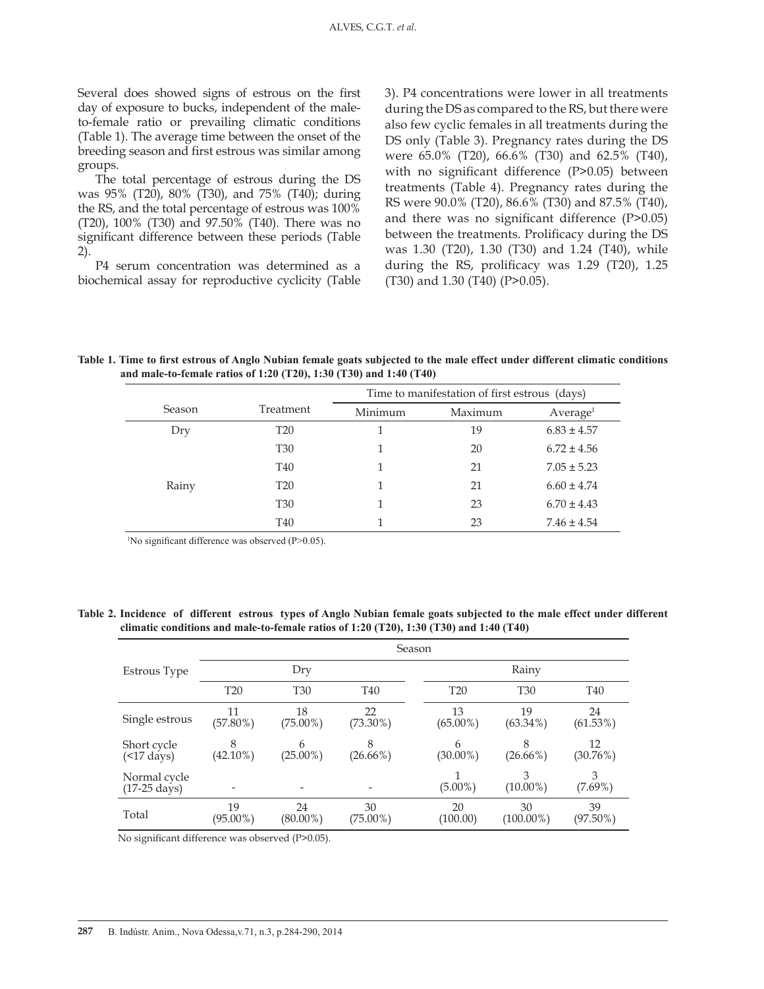Several does showed signs of estrous on the first day of exposure to bucks, independent of the maleto-female ratio or prevailing climatic conditions (Table 1). The average time between the onset of the breeding season and first estrous was similar among groups.

The total percentage of estrous during the DS was 95% (T20), 80% (T30), and 75% (T40); during the RS, and the total percentage of estrous was 100% (T20), 100% (T30) and 97.50% (T40). There was no significant difference between these periods (Table 2).

P4 serum concentration was determined as a biochemical assay for reproductive cyclicity (Table 3). P4 concentrations were lower in all treatments during the DS as compared to the RS, but there were also few cyclic females in all treatments during the DS only (Table 3). Pregnancy rates during the DS were 65.0% (T20), 66.6% (T30) and 62.5% (T40), with no significant difference (P>0.05) between treatments (Table 4). Pregnancy rates during the RS were 90.0% (T20), 86.6% (T30) and 87.5% (T40), and there was no significant difference (P>0.05) between the treatments. Prolificacy during the DS was 1.30 (T20), 1.30 (T30) and 1.24 (T40), while during the RS, prolificacy was 1.29 (T20), 1.25 (T30) and 1.30 (T40) (P>0.05).

**Table 1. Time to first estrous of Anglo Nubian female goats subjected to the male effect under different climatic conditions and male-to-female ratios of 1:20 (T20), 1:30 (T30) and 1:40 (T40)**

|        |                 | Time to manifestation of first estrous (days) |         |                      |  |
|--------|-----------------|-----------------------------------------------|---------|----------------------|--|
| Season | Treatment       | Minimum                                       | Maximum | Average <sup>1</sup> |  |
| Dry    | <b>T20</b>      |                                               | 19      | $6.83 \pm 4.57$      |  |
|        | <b>T30</b>      |                                               | 20      | $6.72 \pm 4.56$      |  |
|        | T40             |                                               | 21      | $7.05 \pm 5.23$      |  |
| Rainy  | T <sub>20</sub> |                                               | 21      | $6.60 \pm 4.74$      |  |
|        | <b>T30</b>      |                                               | 23      | $6.70 \pm 4.43$      |  |
|        | T40             |                                               | 23      | $7.46 \pm 4.54$      |  |

1 No significant difference was observed (P>0.05).

**Table 2. Incidence of different estrous types of Anglo Nubian female goats subjected to the male effect under different climatic conditions and male-to-female ratios of 1:20 (T20), 1:30 (T30) and 1:40 (T40)**

|                                        | Season            |                   |                   |                   |                    |                   |  |
|----------------------------------------|-------------------|-------------------|-------------------|-------------------|--------------------|-------------------|--|
| Estrous Type                           | Dry               |                   |                   | Rainy             |                    |                   |  |
|                                        | <b>T20</b>        | <b>T30</b>        | T <sub>40</sub>   | <b>T20</b>        | <b>T30</b>         | T <sub>40</sub>   |  |
| Single estrous                         | 11<br>$(57.80\%)$ | 18<br>$(75.00\%)$ | 22<br>$(73.30\%)$ | 13<br>$(65.00\%)$ | 19<br>$(63.34\%)$  | 24<br>$(61.53\%)$ |  |
| Short cycle<br>$(517 \text{ days})$    | 8<br>$(42.10\%)$  | 6<br>$(25.00\%)$  | 8<br>$(26.66\%)$  | 6<br>$(30.00\%)$  | 8<br>$(26.66\%)$   | 12<br>$(30.76\%)$ |  |
| Normal cycle<br>$(17-25 \text{ days})$ |                   |                   |                   | $(5.00\%)$        | 3<br>$(10.00\%)$   | 3<br>$(7.69\%)$   |  |
| Total                                  | 19<br>$(95.00\%)$ | 24<br>$(80.00\%)$ | 30<br>$(75.00\%)$ | 20<br>(100.00)    | 30<br>$(100.00\%)$ | 39<br>$(97.50\%)$ |  |

No significant difference was observed (P>0.05).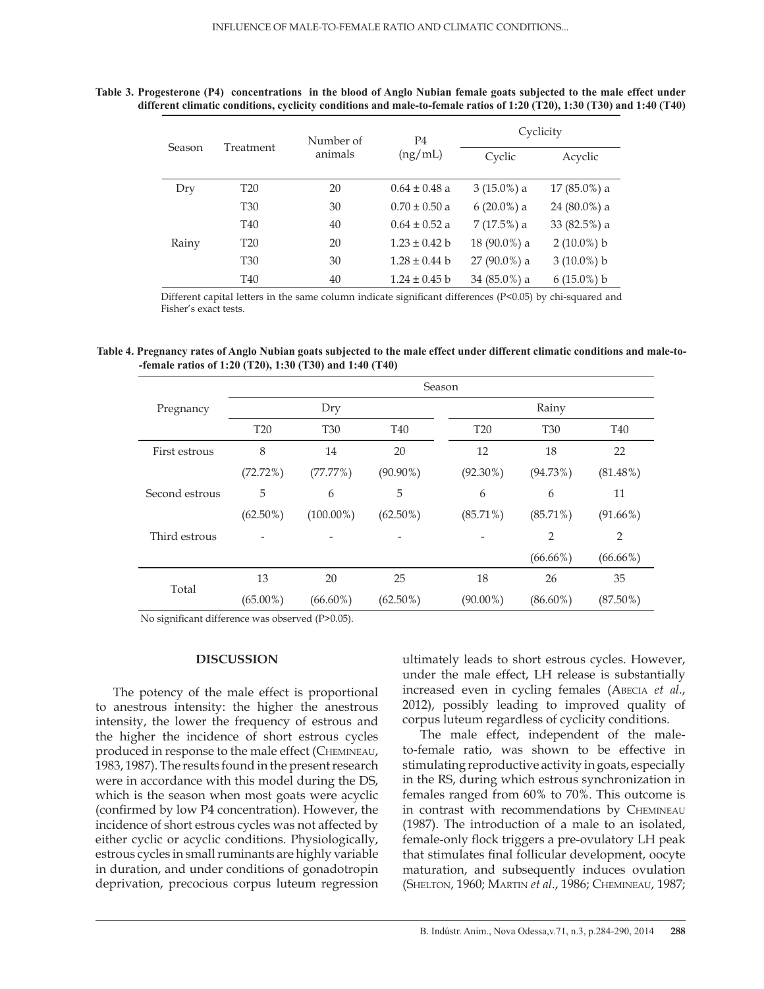### **Table 3. Progesterone (P4) concentrations in the blood of Anglo Nubian female goats subjected to the male effect under different climatic conditions, cyclicity conditions and male-to-female ratios of 1:20 (T20), 1:30 (T30) and 1:40 (T40)**

|        |                      | Number of | P <sub>4</sub>    | Cyclicity      |                |  |
|--------|----------------------|-----------|-------------------|----------------|----------------|--|
| Season | Treatment<br>animals |           | (ng/mL)           | Cyclic         | Acyclic        |  |
| Dry    | <b>T20</b>           | 20        | $0.64 \pm 0.48$ a | $3(15.0\%)$ a  | $17(85.0\%)$ a |  |
|        | <b>T30</b>           | 30        | $0.70 \pm 0.50$ a | $6(20.0\%)$ a  | 24 (80.0%) a   |  |
|        | T <sub>40</sub>      | 40        | $0.64 \pm 0.52$ a | $7(17.5%)$ a   | 33 (82.5%) a   |  |
| Rainy  | <b>T20</b>           | 20        | $1.23 \pm 0.42$ b | 18 (90.0%) a   | $2(10.0\%) b$  |  |
|        | <b>T30</b>           | 30        | $1.28 \pm 0.44$ b | 27 (90.0%) a   | $3(10.0\%) b$  |  |
|        | T <sub>40</sub>      | 40        | $1.24 \pm 0.45$ b | $34(85.0\%)$ a | $6(15.0\%) b$  |  |

Different capital letters in the same column indicate significant differences (P<0.05) by chi-squared and Fisher's exact tests.

#### **Table 4. Pregnancy rates of Anglo Nubian goats subjected to the male effect under different climatic conditions and male-to- -female ratios of 1:20 (T20), 1:30 (T30) and 1:40 (T40)**

|                | Season          |              |             |  |             |             |             |  |
|----------------|-----------------|--------------|-------------|--|-------------|-------------|-------------|--|
| Pregnancy      | Dry             |              |             |  | Rainy       |             |             |  |
|                | T <sub>20</sub> | <b>T30</b>   | <b>T40</b>  |  | <b>T20</b>  | <b>T30</b>  | <b>T40</b>  |  |
| First estrous  | 8               | 14           | 20          |  | 12          | 18          | 22          |  |
|                | (72.72%)        | (77.77%)     | $(90.90\%)$ |  | $(92.30\%)$ | (94.73%)    | $(81.48\%)$ |  |
| Second estrous | 5               | 6            | 5           |  | 6           | 6           | 11          |  |
|                | $(62.50\%)$     | $(100.00\%)$ | $(62.50\%)$ |  | $(85.71\%)$ | $(85.71\%)$ | $(91.66\%)$ |  |
| Third estrous  |                 |              |             |  |             | 2           | 2           |  |
|                |                 |              |             |  |             | $(66.66\%)$ | $(66.66\%)$ |  |
| Total          | 13              | 20           | 25          |  | 18          | 26          | 35          |  |
|                | $(65.00\%)$     | $(66.60\%)$  | $(62.50\%)$ |  | $(90.00\%)$ | $(86.60\%)$ | $(87.50\%)$ |  |

No significant difference was observed (P>0.05).

### **DISCUSSION**

The potency of the male effect is proportional to anestrous intensity: the higher the anestrous intensity, the lower the frequency of estrous and the higher the incidence of short estrous cycles produced in response to the male effect (Chemineau, 1983, 1987). The results found in the present research were in accordance with this model during the DS, which is the season when most goats were acyclic (confirmed by low P4 concentration). However, the incidence of short estrous cycles was not affected by either cyclic or acyclic conditions. Physiologically, estrous cycles in small ruminants are highly variable in duration, and under conditions of gonadotropin deprivation, precocious corpus luteum regression ultimately leads to short estrous cycles. However, under the male effect, LH release is substantially increased even in cycling females (Abecia *et al.*, 2012), possibly leading to improved quality of corpus luteum regardless of cyclicity conditions.

The male effect, independent of the maleto-female ratio, was shown to be effective in stimulating reproductive activity in goats, especially in the RS, during which estrous synchronization in females ranged from 60% to 70%. This outcome is in contrast with recommendations by Chemineau (1987). The introduction of a male to an isolated, female-only flock triggers a pre-ovulatory LH peak that stimulates final follicular development, oocyte maturation, and subsequently induces ovulation (Shelton, 1960; Martin *et al*., 1986; Chemineau, 1987;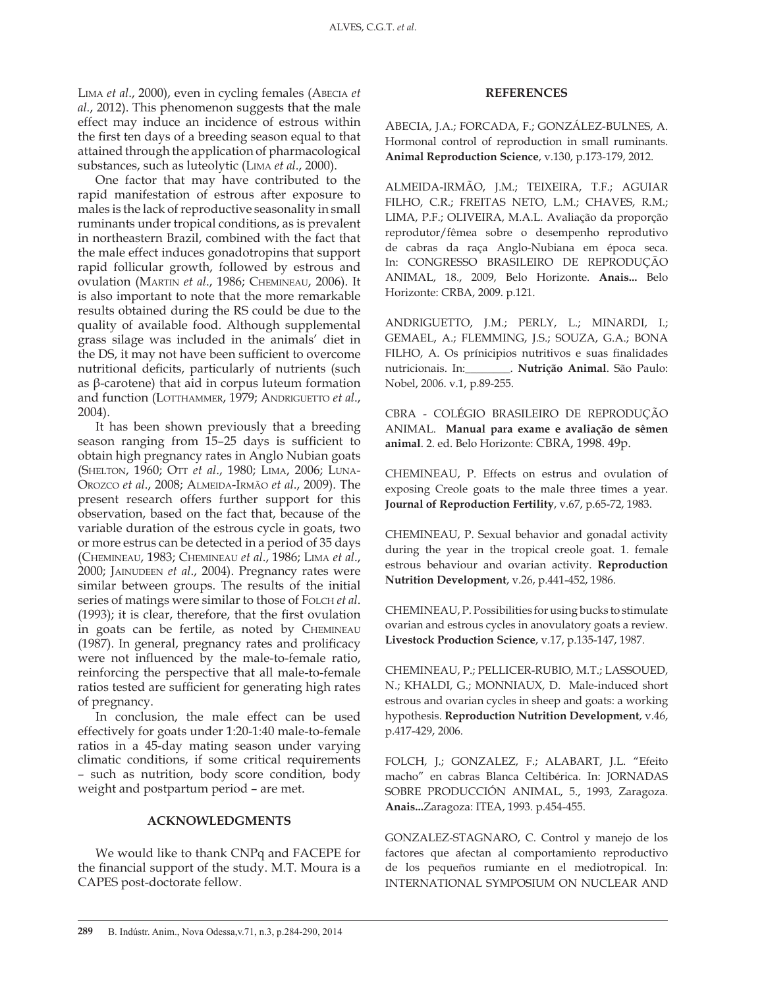Lima *et al*., 2000), even in cycling females (Abecia *et al.*, 2012). This phenomenon suggests that the male effect may induce an incidence of estrous within the first ten days of a breeding season equal to that attained through the application of pharmacological substances, such as luteolytic (Lima *et al*., 2000).

One factor that may have contributed to the rapid manifestation of estrous after exposure to males is the lack of reproductive seasonality in small ruminants under tropical conditions, as is prevalent in northeastern Brazil, combined with the fact that the male effect induces gonadotropins that support rapid follicular growth, followed by estrous and ovulation (Martin *et al*., 1986; Chemineau, 2006). It is also important to note that the more remarkable results obtained during the RS could be due to the quality of available food. Although supplemental grass silage was included in the animals' diet in the DS, it may not have been sufficient to overcome nutritional deficits, particularly of nutrients (such as β-carotene) that aid in corpus luteum formation and function (LOTTHAMMER, 1979; ANDRIGUETTO et al., 2004).

It has been shown previously that a breeding season ranging from 15–25 days is sufficient to obtain high pregnancy rates in Anglo Nubian goats (Shelton, 1960; Ott *et al*., 1980; Lima, 2006; Luna-Orozco *et al*., 2008; Almeida-Irmão *et al*., 2009). The present research offers further support for this observation, based on the fact that, because of the variable duration of the estrous cycle in goats, two or more estrus can be detected in a period of 35 days (Chemineau, 1983; Chemineau *et al*., 1986; Lima *et al*., 2000; Jainudeen *et al*., 2004). Pregnancy rates were similar between groups. The results of the initial series of matings were similar to those of FOLCH *et al*. (1993); it is clear, therefore, that the first ovulation in goats can be fertile, as noted by Chemineau (1987). In general, pregnancy rates and prolificacy were not influenced by the male-to-female ratio, reinforcing the perspective that all male-to-female ratios tested are sufficient for generating high rates of pregnancy.

In conclusion, the male effect can be used effectively for goats under 1:20-1:40 male-to-female ratios in a 45-day mating season under varying climatic conditions, if some critical requirements – such as nutrition, body score condition, body weight and postpartum period – are met.

#### **ACKNOWLEDGMENTS**

We would like to thank CNPq and FACEPE for the financial support of the study. M.T. Moura is a CAPES post-doctorate fellow.

#### **REFERENCES**

ABECIA, J.A.; FORCADA, F.; GONZÁLEZ-BULNES, A. Hormonal control of reproduction in small ruminants. **Animal Reproduction Science**, v.130, p.173-179, 2012.

ALMEIDA-IRMÃO, J.M.; TEIXEIRA, T.F.; AGUIAR FILHO, C.R.; FREITAS NETO, L.M.; CHAVES, R.M.; LIMA, P.F.; OLIVEIRA, M.A.L. Avaliação da proporção reprodutor/fêmea sobre o desempenho reprodutivo de cabras da raça Anglo-Nubiana em época seca. In: CONGRESSO BRASILEIRO DE REPRODUÇÃO ANIMAL, 18., 2009, Belo Horizonte. **Anais...** Belo Horizonte: CRBA, 2009. p.121.

ANDRIGUETTO, J.M.; PERLY, L.; MINARDI, I.; GEMAEL, A.; FLEMMING, J.S.; SOUZA, G.A.; BONA FILHO, A. Os prínicipios nutritivos e suas finalidades nutricionais. In:\_\_\_\_\_\_\_\_. **Nutrição Animal**. São Paulo: Nobel, 2006. v.1, p.89-255.

CBRA - COLÉGIO BRASILEIRO DE REPRODUÇÃO ANIMAL. **Manual para exame e avaliação de sêmen animal**. 2. ed. Belo Horizonte: CBRA, 1998. 49p.

CHEMINEAU, P. Effects on estrus and ovulation of exposing Creole goats to the male three times a year. **Journal of Reproduction Fertility**, v.67, p.65-72, 1983.

CHEMINEAU, P. Sexual behavior and gonadal activity during the year in the tropical creole goat. 1. female estrous behaviour and ovarian activity. **Reproduction Nutrition Development**, v.26, p.441-452, 1986.

CHEMINEAU, P. Possibilities for using bucks to stimulate ovarian and estrous cycles in anovulatory goats a review. **Livestock Production Science**, v.17, p.135-147, 1987.

CHEMINEAU, P.; PELLICER-RUBIO, M.T.; LASSOUED, N.; KHALDI, G.; MONNIAUX, D. Male-induced short estrous and ovarian cycles in sheep and goats: a working hypothesis. **Reproduction Nutrition Development**, v.46, p.417-429, 2006.

FOLCH, J.; GONZALEZ, F.; ALABART, J.L. "Efeito macho" en cabras Blanca Celtibérica. In: JORNADAS SOBRE PRODUCCIÓN ANIMAL, 5., 1993, Zaragoza. **Anais...**Zaragoza: ITEA, 1993. p.454-455.

GONZALEZ-STAGNARO, C. Control y manejo de los factores que afectan al comportamiento reproductivo de los pequeños rumiante en el mediotropical. In: INTERNATIONAL SYMPOSIUM ON NUCLEAR AND